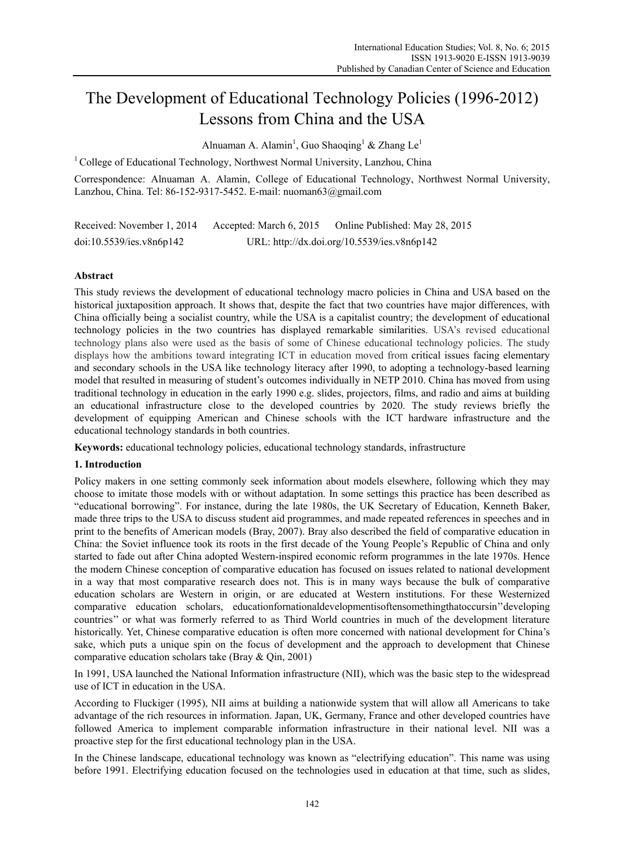# The Development of Educational Technology Policies (1996-2012) Lessons from China and the USA

Alnuaman A. Alamin<sup>1</sup>, Guo Shaoqing<sup>1</sup> & Zhang Le<sup>1</sup>

 $1$  College of Educational Technology, Northwest Normal University, Lanzhou, China

Correspondence: Alnuaman A. Alamin, College of Educational Technology, Northwest Normal University, Lanzhou, China. Tel: 86-152-9317-5452. E-mail: nuoman63@gmail.com

Received: November 1, 2014 Accepted: March 6, 2015 Online Published: May 28, 2015 doi:10.5539/ies.v8n6p142 URL: http://dx.doi.org/10.5539/ies.v8n6p142

## **Abstract**

This study reviews the development of educational technology macro policies in China and USA based on the historical juxtaposition approach. It shows that, despite the fact that two countries have major differences, with China officially being a socialist country, while the USA is a capitalist country; the development of educational technology policies in the two countries has displayed remarkable similarities. USA's revised educational technology plans also were used as the basis of some of Chinese educational technology policies. The study displays how the ambitions toward integrating ICT in education moved from critical issues facing elementary and secondary schools in the USA like technology literacy after 1990, to adopting a technology-based learning model that resulted in measuring of student's outcomes individually in NETP 2010. China has moved from using traditional technology in education in the early 1990 e.g. slides, projectors, films, and radio and aims at building an educational infrastructure close to the developed countries by 2020. The study reviews briefly the development of equipping American and Chinese schools with the ICT hardware infrastructure and the educational technology standards in both countries.

**Keywords:** educational technology policies, educational technology standards, infrastructure

#### **1. Introduction**

Policy makers in one setting commonly seek information about models elsewhere, following which they may choose to imitate those models with or without adaptation. In some settings this practice has been described as "educational borrowing". For instance, during the late 1980s, the UK Secretary of Education, Kenneth Baker, made three trips to the USA to discuss student aid programmes, and made repeated references in speeches and in print to the benefits of American models (Bray, 2007). Bray also described the field of comparative education in China: the Soviet influence took its roots in the first decade of the Young People's Republic of China and only started to fade out after China adopted Western-inspired economic reform programmes in the late 1970s. Hence the modern Chinese conception of comparative education has focused on issues related to national development in a way that most comparative research does not. This is in many ways because the bulk of comparative education scholars are Western in origin, or are educated at Western institutions. For these Westernized comparative education scholars, educationfornationaldevelopmentisoftensomethingthatoccursin''developing countries'' or what was formerly referred to as Third World countries in much of the development literature historically. Yet, Chinese comparative education is often more concerned with national development for China's sake, which puts a unique spin on the focus of development and the approach to development that Chinese comparative education scholars take (Bray & Qin, 2001)

In 1991, USA launched the National Information infrastructure (NII), which was the basic step to the widespread use of ICT in education in the USA.

According to Fluckiger (1995), NII aims at building a nationwide system that will allow all Americans to take advantage of the rich resources in information. Japan, UK, Germany, France and other developed countries have followed America to implement comparable information infrastructure in their national level. NII was a proactive step for the first educational technology plan in the USA.

In the Chinese landscape, educational technology was known as "electrifying education". This name was using before 1991. Electrifying education focused on the technologies used in education at that time, such as slides,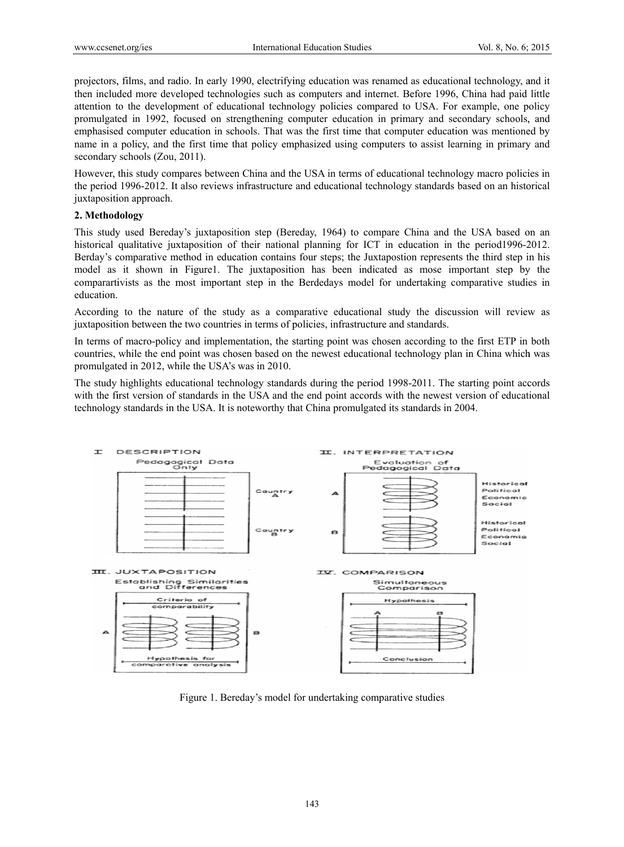projectors, films, and radio. In early 1990, electrifying education was renamed as educational technology, and it then included more developed technologies such as computers and internet. Before 1996, China had paid little attention to the development of educational technology policies compared to USA. For example, one policy promulgated in 1992, focused on strengthening computer education in primary and secondary schools, and emphasised computer education in schools. That was the first time that computer education was mentioned by name in a policy, and the first time that policy emphasized using computers to assist learning in primary and secondary schools (Zou, 2011).

However, this study compares between China and the USA in terms of educational technology macro policies in the period 1996-2012. It also reviews infrastructure and educational technology standards based on an historical juxtaposition approach.

## **2. Method dology**

This study used Bereday's juxtaposition step (Bereday, 1964) to compare China and the USA based on an historical qualitative juxtaposition of their national planning for ICT in education in the period1996-2012. Berday's comparative method in education contains four steps; the Juxtapostion represents the third step in his model as it shown in Figure1. The juxtaposition has been indicated as mose important step by the comparartivists as the most important step in the Berdedays model for undertaking comparative studies in education.

According to the nature of the study as a comparative educational study the discussion will review as juxtaposition between the two countries in terms of policies, infrastructure and standards.

In terms of macro-policy and implementation, the starting point was chosen according to the first ETP in both countries, while the end point was chosen based on the newest educational technology plan in China which was promulgat ed in 2012, wh hile the USA's was in 2010.

The study highlights educational technology standards during the period 1998-2011. The starting point accords with the first version of standards in the USA and the end point accords with the newest version of educational technology standards in the USA. It is noteworthy that China promulgated its standards in 2004.



Figure 1. Bereday's model for undertaking comparative studies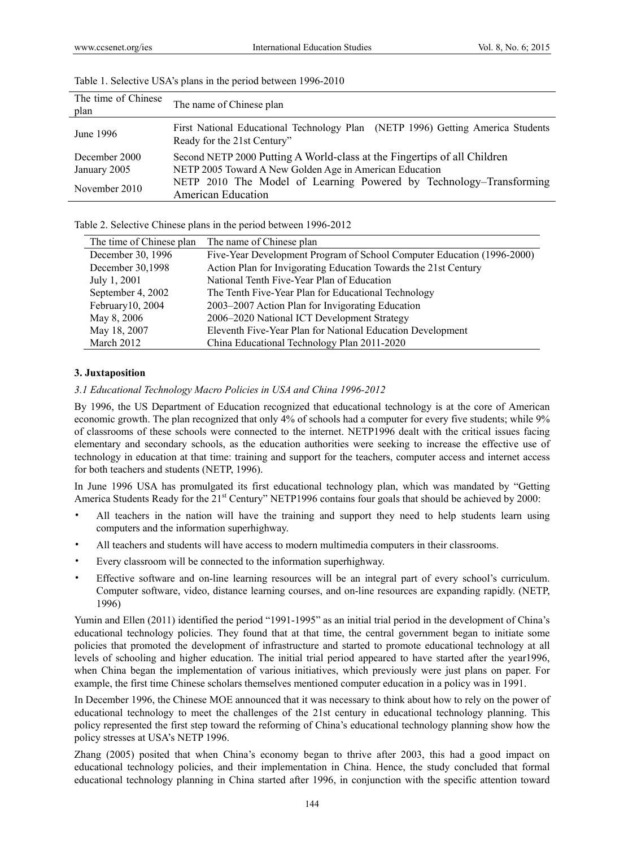| The time of Chinese<br>plan   | The name of Chinese plan                                                                                                            |  |  |  |  |
|-------------------------------|-------------------------------------------------------------------------------------------------------------------------------------|--|--|--|--|
| June 1996                     | First National Educational Technology Plan (NETP 1996) Getting America Students<br>Ready for the 21st Century"                      |  |  |  |  |
| December 2000<br>January 2005 | Second NETP 2000 Putting A World-class at the Fingertips of all Children<br>NETP 2005 Toward A New Golden Age in American Education |  |  |  |  |
| November 2010                 | NETP 2010 The Model of Learning Powered by Technology-Transforming<br><b>American Education</b>                                     |  |  |  |  |

Table 1. Selective USA's plans in the period between 1996-2010

|  |  |  | Table 2. Selective Chinese plans in the period between 1996-2012 |
|--|--|--|------------------------------------------------------------------|
|  |  |  |                                                                  |

| The time of Chinese plan | The name of Chinese plan                                               |
|--------------------------|------------------------------------------------------------------------|
| December 30, 1996        | Five-Year Development Program of School Computer Education (1996-2000) |
| December 30,1998         | Action Plan for Invigorating Education Towards the 21st Century        |
| July 1, 2001             | National Tenth Five-Year Plan of Education                             |
| September 4, 2002        | The Tenth Five-Year Plan for Educational Technology                    |
| February 10, 2004        | 2003–2007 Action Plan for Invigorating Education                       |
| May 8, 2006              | 2006–2020 National ICT Development Strategy                            |
| May 18, 2007             | Eleventh Five-Year Plan for National Education Development             |
| March 2012               | China Educational Technology Plan 2011-2020                            |

#### **3. Juxtaposition**

*3.1 Educational Technology Macro Policies in USA and China 1996-2012* 

By 1996, the US Department of Education recognized that educational technology is at the core of American economic growth. The plan recognized that only 4% of schools had a computer for every five students; while 9% of classrooms of these schools were connected to the internet. NETP1996 dealt with the critical issues facing elementary and secondary schools, as the education authorities were seeking to increase the effective use of technology in education at that time: training and support for the teachers, computer access and internet access for both teachers and students (NETP, 1996).

In June 1996 USA has promulgated its first educational technology plan, which was mandated by "Getting America Students Ready for the 21<sup>st</sup> Century" NETP1996 contains four goals that should be achieved by 2000:

- All teachers in the nation will have the training and support they need to help students learn using computers and the information superhighway.
- All teachers and students will have access to modern multimedia computers in their classrooms.
- Every classroom will be connected to the information superhighway.
- Effective software and on-line learning resources will be an integral part of every school's curriculum. Computer software, video, distance learning courses, and on-line resources are expanding rapidly. (NETP, 1996)

Yumin and Ellen (2011) identified the period "1991-1995" as an initial trial period in the development of China's educational technology policies. They found that at that time, the central government began to initiate some policies that promoted the development of infrastructure and started to promote educational technology at all levels of schooling and higher education. The initial trial period appeared to have started after the year1996, when China began the implementation of various initiatives, which previously were just plans on paper. For example, the first time Chinese scholars themselves mentioned computer education in a policy was in 1991.

In December 1996, the Chinese MOE announced that it was necessary to think about how to rely on the power of educational technology to meet the challenges of the 21st century in educational technology planning. This policy represented the first step toward the reforming of China's educational technology planning show how the policy stresses at USA's NETP 1996.

Zhang (2005) posited that when China's economy began to thrive after 2003, this had a good impact on educational technology policies, and their implementation in China. Hence, the study concluded that formal educational technology planning in China started after 1996, in conjunction with the specific attention toward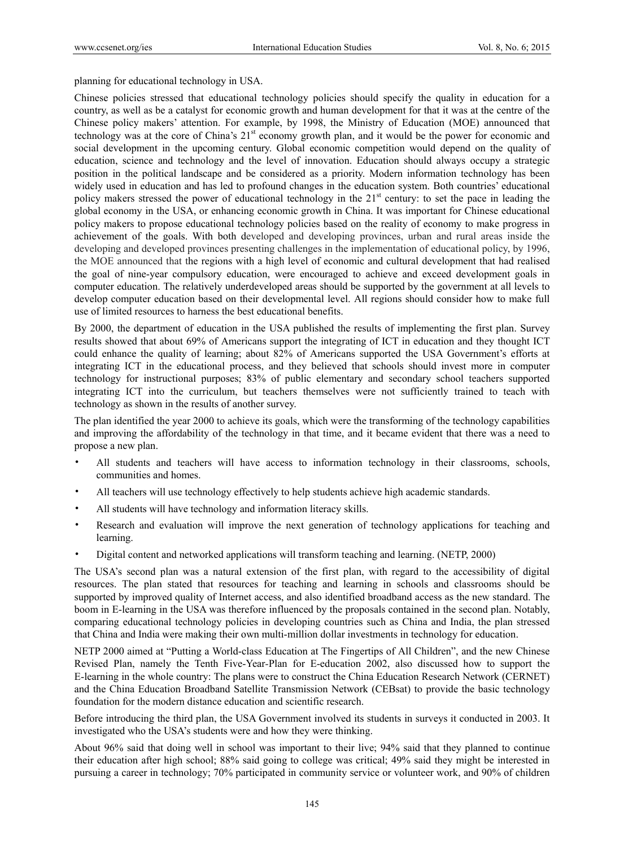planning for educational technology in USA.

Chinese policies stressed that educational technology policies should specify the quality in education for a country, as well as be a catalyst for economic growth and human development for that it was at the centre of the Chinese policy makers' attention. For example, by 1998, the Ministry of Education (MOE) announced that technology was at the core of China's  $21<sup>st</sup>$  economy growth plan, and it would be the power for economic and social development in the upcoming century. Global economic competition would depend on the quality of education, science and technology and the level of innovation. Education should always occupy a strategic position in the political landscape and be considered as a priority. Modern information technology has been widely used in education and has led to profound changes in the education system. Both countries' educational policy makers stressed the power of educational technology in the  $21<sup>st</sup>$  century: to set the pace in leading the global economy in the USA, or enhancing economic growth in China. It was important for Chinese educational policy makers to propose educational technology policies based on the reality of economy to make progress in achievement of the goals. With both developed and developing provinces, urban and rural areas inside the developing and developed provinces presenting challenges in the implementation of educational policy, by 1996, the MOE announced that the regions with a high level of economic and cultural development that had realised the goal of nine-year compulsory education, were encouraged to achieve and exceed development goals in computer education. The relatively underdeveloped areas should be supported by the government at all levels to develop computer education based on their developmental level. All regions should consider how to make full use of limited resources to harness the best educational benefits.

By 2000, the department of education in the USA published the results of implementing the first plan. Survey results showed that about 69% of Americans support the integrating of ICT in education and they thought ICT could enhance the quality of learning; about 82% of Americans supported the USA Government's efforts at integrating ICT in the educational process, and they believed that schools should invest more in computer technology for instructional purposes; 83% of public elementary and secondary school teachers supported integrating ICT into the curriculum, but teachers themselves were not sufficiently trained to teach with technology as shown in the results of another survey.

The plan identified the year 2000 to achieve its goals, which were the transforming of the technology capabilities and improving the affordability of the technology in that time, and it became evident that there was a need to propose a new plan.

- All students and teachers will have access to information technology in their classrooms, schools, communities and homes.
- All teachers will use technology effectively to help students achieve high academic standards.
- All students will have technology and information literacy skills.
- Research and evaluation will improve the next generation of technology applications for teaching and learning.
- Digital content and networked applications will transform teaching and learning. (NETP, 2000)

The USA's second plan was a natural extension of the first plan, with regard to the accessibility of digital resources. The plan stated that resources for teaching and learning in schools and classrooms should be supported by improved quality of Internet access, and also identified broadband access as the new standard. The boom in E-learning in the USA was therefore influenced by the proposals contained in the second plan. Notably, comparing educational technology policies in developing countries such as China and India, the plan stressed that China and India were making their own multi-million dollar investments in technology for education.

NETP 2000 aimed at "Putting a World-class Education at The Fingertips of All Children", and the new Chinese Revised Plan, namely the Tenth Five-Year*-*Plan for E-education 2002, also discussed how to support the E-learning in the whole country: The plans were to construct the China Education Research Network (CERNET) and the China Education Broadband Satellite Transmission Network (CEBsat) to provide the basic technology foundation for the modern distance education and scientific research.

Before introducing the third plan, the USA Government involved its students in surveys it conducted in 2003. It investigated who the USA's students were and how they were thinking.

About 96% said that doing well in school was important to their live; 94% said that they planned to continue their education after high school; 88% said going to college was critical; 49% said they might be interested in pursuing a career in technology; 70% participated in community service or volunteer work, and 90% of children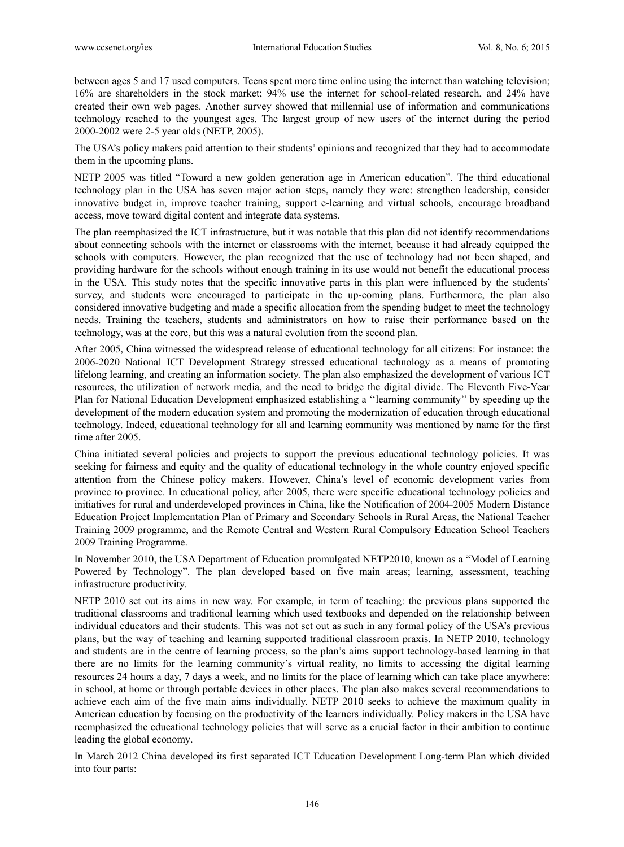between ages 5 and 17 used computers. Teens spent more time online using the internet than watching television; 16% are shareholders in the stock market; 94% use the internet for school-related research, and 24% have created their own web pages. Another survey showed that millennial use of information and communications technology reached to the youngest ages. The largest group of new users of the internet during the period 2000-2002 were 2-5 year olds (NETP, 2005).

The USA's policy makers paid attention to their students' opinions and recognized that they had to accommodate them in the upcoming plans.

NETP 2005 was titled "Toward a new golden generation age in American education". The third educational technology plan in the USA has seven major action steps, namely they were: strengthen leadership, consider innovative budget in, improve teacher training, support e-learning and virtual schools, encourage broadband access, move toward digital content and integrate data systems.

The plan reemphasized the ICT infrastructure, but it was notable that this plan did not identify recommendations about connecting schools with the internet or classrooms with the internet, because it had already equipped the schools with computers. However, the plan recognized that the use of technology had not been shaped, and providing hardware for the schools without enough training in its use would not benefit the educational process in the USA. This study notes that the specific innovative parts in this plan were influenced by the students' survey, and students were encouraged to participate in the up-coming plans. Furthermore, the plan also considered innovative budgeting and made a specific allocation from the spending budget to meet the technology needs. Training the teachers, students and administrators on how to raise their performance based on the technology, was at the core, but this was a natural evolution from the second plan.

After 2005, China witnessed the widespread release of educational technology for all citizens: For instance: the 2006-2020 National ICT Development Strategy stressed educational technology as a means of promoting lifelong learning, and creating an information society. The plan also emphasized the development of various ICT resources, the utilization of network media, and the need to bridge the digital divide. The Eleventh Five-Year Plan for National Education Development emphasized establishing a ''learning community'' by speeding up the development of the modern education system and promoting the modernization of education through educational technology. Indeed, educational technology for all and learning community was mentioned by name for the first time after 2005.

China initiated several policies and projects to support the previous educational technology policies. It was seeking for fairness and equity and the quality of educational technology in the whole country enjoyed specific attention from the Chinese policy makers. However, China's level of economic development varies from province to province. In educational policy, after 2005, there were specific educational technology policies and initiatives for rural and underdeveloped provinces in China, like the Notification of 2004-2005 Modern Distance Education Project Implementation Plan of Primary and Secondary Schools in Rural Areas, the National Teacher Training 2009 programme, and the Remote Central and Western Rural Compulsory Education School Teachers 2009 Training Programme.

In November 2010, the USA Department of Education promulgated NETP2010, known as a "Model of Learning Powered by Technology". The plan developed based on five main areas; learning, assessment, teaching infrastructure productivity.

NETP 2010 set out its aims in new way. For example, in term of teaching: the previous plans supported the traditional classrooms and traditional learning which used textbooks and depended on the relationship between individual educators and their students. This was not set out as such in any formal policy of the USA's previous plans, but the way of teaching and learning supported traditional classroom praxis. In NETP 2010, technology and students are in the centre of learning process, so the plan's aims support technology-based learning in that there are no limits for the learning community's virtual reality, no limits to accessing the digital learning resources 24 hours a day, 7 days a week, and no limits for the place of learning which can take place anywhere: in school, at home or through portable devices in other places. The plan also makes several recommendations to achieve each aim of the five main aims individually. NETP 2010 seeks to achieve the maximum quality in American education by focusing on the productivity of the learners individually. Policy makers in the USA have reemphasized the educational technology policies that will serve as a crucial factor in their ambition to continue leading the global economy.

In March 2012 China developed its first separated ICT Education Development Long-term Plan which divided into four parts: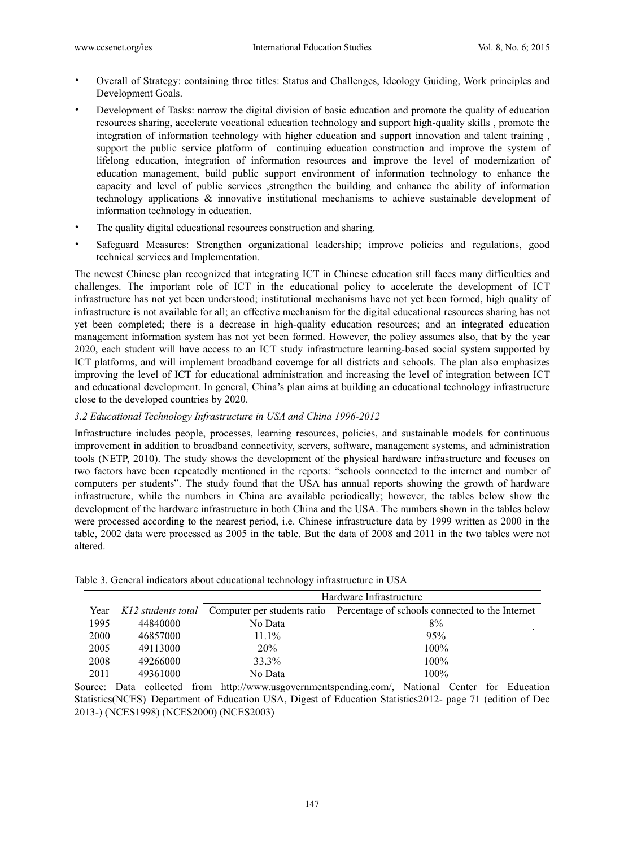- Overall of Strategy: containing three titles: Status and Challenges, Ideology Guiding, Work principles and Development Goals.
- Development of Tasks: narrow the digital division of basic education and promote the quality of education resources sharing, accelerate vocational education technology and support high-quality skills , promote the integration of information technology with higher education and support innovation and talent training , support the public service platform of continuing education construction and improve the system of lifelong education, integration of information resources and improve the level of modernization of education management, build public support environment of information technology to enhance the capacity and level of public services ,strengthen the building and enhance the ability of information technology applications & innovative institutional mechanisms to achieve sustainable development of information technology in education.
- The quality digital educational resources construction and sharing.
- Safeguard Measures: Strengthen organizational leadership; improve policies and regulations, good technical services and Implementation.

The newest Chinese plan recognized that integrating ICT in Chinese education still faces many difficulties and challenges. The important role of ICT in the educational policy to accelerate the development of ICT infrastructure has not yet been understood; institutional mechanisms have not yet been formed, high quality of infrastructure is not available for all; an effective mechanism for the digital educational resources sharing has not yet been completed; there is a decrease in high-quality education resources; and an integrated education management information system has not yet been formed. However, the policy assumes also, that by the year 2020, each student will have access to an ICT study infrastructure learning-based social system supported by ICT platforms, and will implement broadband coverage for all districts and schools. The plan also emphasizes improving the level of ICT for educational administration and increasing the level of integration between ICT and educational development. In general, China's plan aims at building an educational technology infrastructure close to the developed countries by 2020.

## *3.2 Educational Technology Infrastructure in USA and China 1996-2012*

Infrastructure includes people, processes, learning resources, policies, and sustainable models for continuous improvement in addition to broadband connectivity, servers, software, management systems, and administration tools (NETP, 2010). The study shows the development of the physical hardware infrastructure and focuses on two factors have been repeatedly mentioned in the reports: "schools connected to the internet and number of computers per students". The study found that the USA has annual reports showing the growth of hardware infrastructure, while the numbers in China are available periodically; however, the tables below show the development of the hardware infrastructure in both China and the USA. The numbers shown in the tables below were processed according to the nearest period, i.e. Chinese infrastructure data by 1999 written as 2000 in the table, 2002 data were processed as 2005 in the table. But the data of 2008 and 2011 in the two tables were not altered.

|      |                    | Hardware Infrastructure     |                                                 |  |  |  |  |  |
|------|--------------------|-----------------------------|-------------------------------------------------|--|--|--|--|--|
| Year | K12 students total | Computer per students ratio | Percentage of schools connected to the Internet |  |  |  |  |  |
| 1995 | 44840000           | No Data                     | 8%                                              |  |  |  |  |  |
| 2000 | 46857000           | $11.1\%$                    | 95%                                             |  |  |  |  |  |
| 2005 | 49113000           | 20%                         | 100%                                            |  |  |  |  |  |
| 2008 | 49266000           | 33.3%                       | 100%                                            |  |  |  |  |  |
| 2011 | 49361000           | No Data                     | 100%                                            |  |  |  |  |  |

|  |  |  |  |  |  | Table 3. General indicators about educational technology infrastructure in USA |  |
|--|--|--|--|--|--|--------------------------------------------------------------------------------|--|
|--|--|--|--|--|--|--------------------------------------------------------------------------------|--|

Source: Data collected from http://www.usgovernmentspending.com/, National Center for Education Statistics(NCES)–Department of Education USA, Digest of Education Statistics2012- page 71 (edition of Dec 2013-) (NCES1998) (NCES2000) (NCES2003)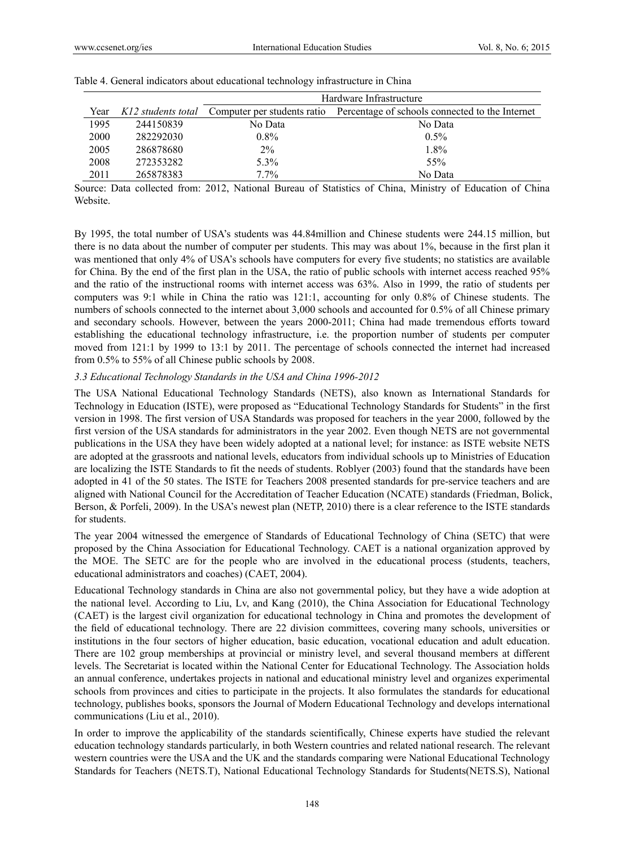|      |                    | Hardware Infrastructure |                                                                             |  |  |  |  |  |
|------|--------------------|-------------------------|-----------------------------------------------------------------------------|--|--|--|--|--|
| Year | K12 students total |                         | Computer per students ratio Percentage of schools connected to the Internet |  |  |  |  |  |
| 1995 | 244150839          | No Data                 | No Data                                                                     |  |  |  |  |  |
| 2000 | 282292030          | $0.8\%$                 | $0.5\%$                                                                     |  |  |  |  |  |
| 2005 | 286878680          | $2\%$                   | 1.8%                                                                        |  |  |  |  |  |
| 2008 | 272353282          | 5.3%                    | 55%                                                                         |  |  |  |  |  |
| 2011 | 265878383          | $7.7\%$                 | No Data                                                                     |  |  |  |  |  |

|  |  |  | Table 4. General indicators about educational technology infrastructure in China |  |
|--|--|--|----------------------------------------------------------------------------------|--|
|  |  |  |                                                                                  |  |

Source: Data collected from: 2012, National Bureau of Statistics of China, Ministry of Education of China Website.

By 1995, the total number of USA's students was 44.84million and Chinese students were 244.15 million, but there is no data about the number of computer per students. This may was about 1%, because in the first plan it was mentioned that only 4% of USA's schools have computers for every five students; no statistics are available for China. By the end of the first plan in the USA, the ratio of public schools with internet access reached 95% and the ratio of the instructional rooms with internet access was 63%. Also in 1999, the ratio of students per computers was 9:1 while in China the ratio was 121:1, accounting for only 0.8% of Chinese students. The numbers of schools connected to the internet about 3,000 schools and accounted for 0.5% of all Chinese primary and secondary schools. However, between the years 2000-2011; China had made tremendous efforts toward establishing the educational technology infrastructure, i.e. the proportion number of students per computer moved from 121:1 by 1999 to 13:1 by 2011. The percentage of schools connected the internet had increased from 0.5% to 55% of all Chinese public schools by 2008.

## *3.3 Educational Technology Standards in the USA and China 1996-2012*

The USA National Educational Technology Standards (NETS), also known as International Standards for Technology in Education (ISTE), were proposed as "Educational Technology Standards for Students" in the first version in 1998. The first version of USA Standards was proposed for teachers in the year 2000, followed by the first version of the USA standards for administrators in the year 2002. Even though NETS are not governmental publications in the USA they have been widely adopted at a national level; for instance: as ISTE website NETS are adopted at the grassroots and national levels, educators from individual schools up to Ministries of Education are localizing the ISTE Standards to fit the needs of students. Roblyer (2003) found that the standards have been adopted in 41 of the 50 states. The ISTE for Teachers 2008 presented standards for pre-service teachers and are aligned with National Council for the Accreditation of Teacher Education (NCATE) standards (Friedman, Bolick, Berson, & Porfeli, 2009). In the USA's newest plan (NETP, 2010) there is a clear reference to the ISTE standards for students.

The year 2004 witnessed the emergence of Standards of Educational Technology of China (SETC) that were proposed by the China Association for Educational Technology. CAET is a national organization approved by the MOE. The SETC are for the people who are involved in the educational process (students, teachers, educational administrators and coaches) (CAET, 2004).

Educational Technology standards in China are also not governmental policy, but they have a wide adoption at the national level. According to Liu, Lv, and Kang (2010), the China Association for Educational Technology (CAET) is the largest civil organization for educational technology in China and promotes the development of the field of educational technology. There are 22 division committees, covering many schools, universities or institutions in the four sectors of higher education, basic education, vocational education and adult education. There are 102 group memberships at provincial or ministry level, and several thousand members at different levels. The Secretariat is located within the National Center for Educational Technology. The Association holds an annual conference, undertakes projects in national and educational ministry level and organizes experimental schools from provinces and cities to participate in the projects. It also formulates the standards for educational technology, publishes books, sponsors the Journal of Modern Educational Technology and develops international communications (Liu et al., 2010).

In order to improve the applicability of the standards scientifically, Chinese experts have studied the relevant education technology standards particularly, in both Western countries and related national research. The relevant western countries were the USA and the UK and the standards comparing were National Educational Technology Standards for Teachers (NETS.T), National Educational Technology Standards for Students(NETS.S), National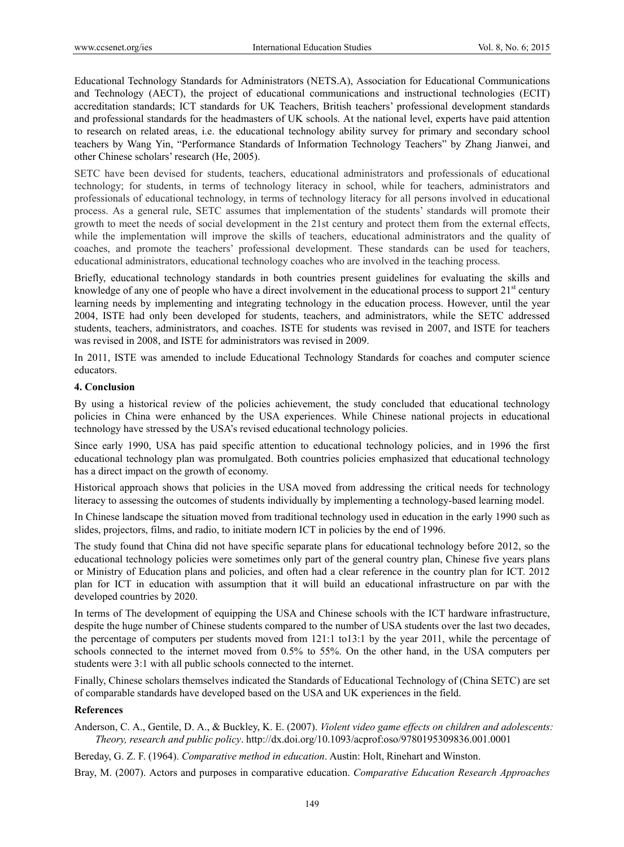Educational Technology Standards for Administrators (NETS.A), Association for Educational Communications and Technology (AECT), the project of educational communications and instructional technologies (ECIT) accreditation standards; ICT standards for UK Teachers, British teachers' professional development standards and professional standards for the headmasters of UK schools. At the national level, experts have paid attention to research on related areas, i.e. the educational technology ability survey for primary and secondary school teachers by Wang Yin, "Performance Standards of Information Technology Teachers" by Zhang Jianwei, and other Chinese scholars' research (He, 2005).

SETC have been devised for students, teachers, educational administrators and professionals of educational technology; for students, in terms of technology literacy in school, while for teachers, administrators and professionals of educational technology, in terms of technology literacy for all persons involved in educational process. As a general rule, SETC assumes that implementation of the students' standards will promote their growth to meet the needs of social development in the 21st century and protect them from the external effects, while the implementation will improve the skills of teachers, educational administrators and the quality of coaches, and promote the teachers' professional development. These standards can be used for teachers, educational administrators, educational technology coaches who are involved in the teaching process.

Briefly, educational technology standards in both countries present guidelines for evaluating the skills and knowledge of any one of people who have a direct involvement in the educational process to support  $21<sup>st</sup>$  century learning needs by implementing and integrating technology in the education process. However, until the year 2004, ISTE had only been developed for students, teachers, and administrators, while the SETC addressed students, teachers, administrators, and coaches. ISTE for students was revised in 2007, and ISTE for teachers was revised in 2008, and ISTE for administrators was revised in 2009.

In 2011, ISTE was amended to include Educational Technology Standards for coaches and computer science educators.

#### **4. Conclusion**

By using a historical review of the policies achievement, the study concluded that educational technology policies in China were enhanced by the USA experiences. While Chinese national projects in educational technology have stressed by the USA's revised educational technology policies.

Since early 1990, USA has paid specific attention to educational technology policies, and in 1996 the first educational technology plan was promulgated. Both countries policies emphasized that educational technology has a direct impact on the growth of economy.

Historical approach shows that policies in the USA moved from addressing the critical needs for technology literacy to assessing the outcomes of students individually by implementing a technology-based learning model.

In Chinese landscape the situation moved from traditional technology used in education in the early 1990 such as slides, projectors, films, and radio, to initiate modern ICT in policies by the end of 1996.

The study found that China did not have specific separate plans for educational technology before 2012, so the educational technology policies were sometimes only part of the general country plan, Chinese five years plans or Ministry of Education plans and policies, and often had a clear reference in the country plan for ICT. 2012 plan for ICT in education with assumption that it will build an educational infrastructure on par with the developed countries by 2020.

In terms of The development of equipping the USA and Chinese schools with the ICT hardware infrastructure, despite the huge number of Chinese students compared to the number of USA students over the last two decades, the percentage of computers per students moved from 121:1 to13:1 by the year 2011, while the percentage of schools connected to the internet moved from 0.5% to 55%. On the other hand, in the USA computers per students were 3:1 with all public schools connected to the internet.

Finally, Chinese scholars themselves indicated the Standards of Educational Technology of (China SETC) are set of comparable standards have developed based on the USA and UK experiences in the field.

## **References**

Anderson, C. A., Gentile, D. A., & Buckley, K. E. (2007). *Violent video game effects on children and adolescents: Theory, research and public policy*. http://dx.doi.org/10.1093/acprof:oso/9780195309836.001.0001

Bereday, G. Z. F. (1964). *Comparative method in education*. Austin: Holt, Rinehart and Winston.

Bray, M. (2007). Actors and purposes in comparative education. *Comparative Education Research Approaches*